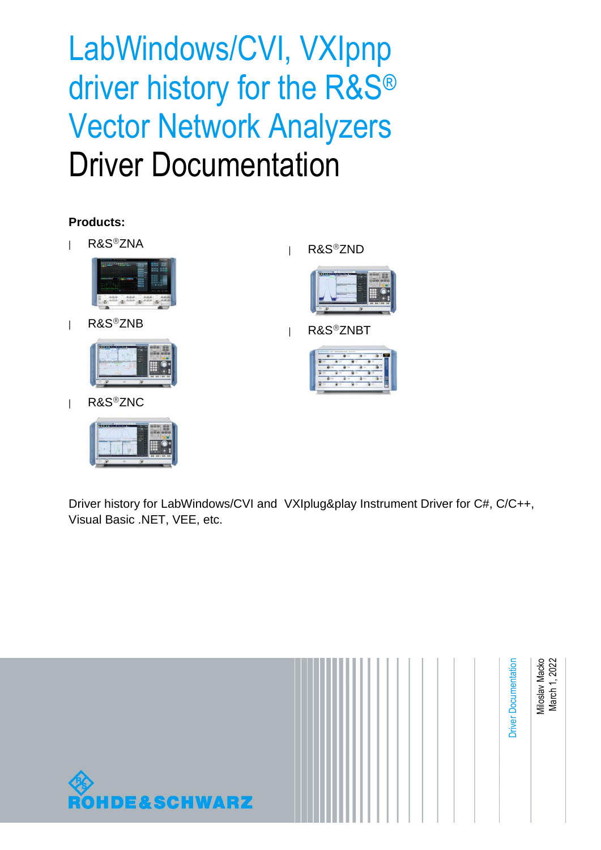LabWindows/CVI, VXIpnp driver history for the R&S® Vector Network Analyzers Driver Documentation

### **Products:**

**|** R&SZNA



**|** R&SZNB



**|** R&SZNC



**| R&S<sup>®</sup>ZND** 



**|** R&SZNBT



Driver history for LabWindows/CVI and VXIplug&play Instrument Driver for C#, C/C++, Visual Basic .NET, VEE, etc.

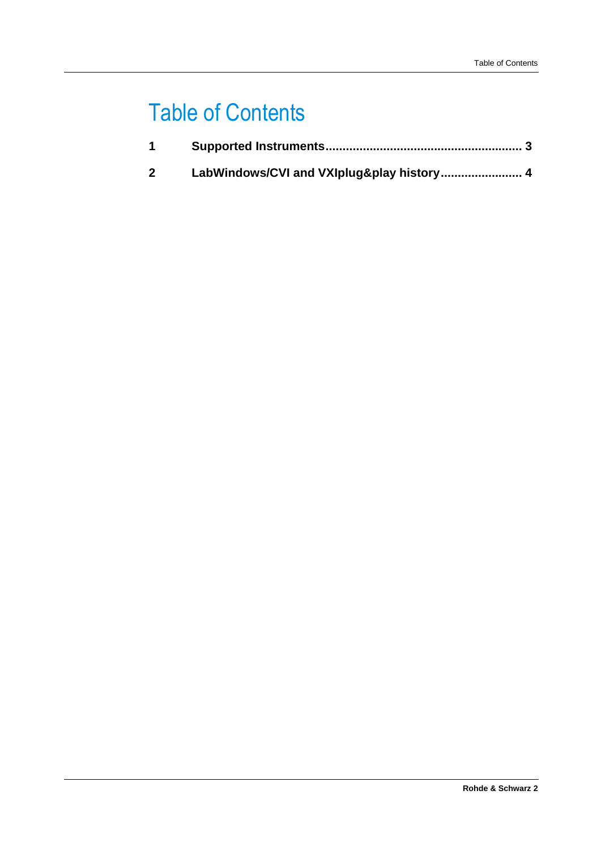## Table of Contents

| 2 <sup>1</sup> |  |
|----------------|--|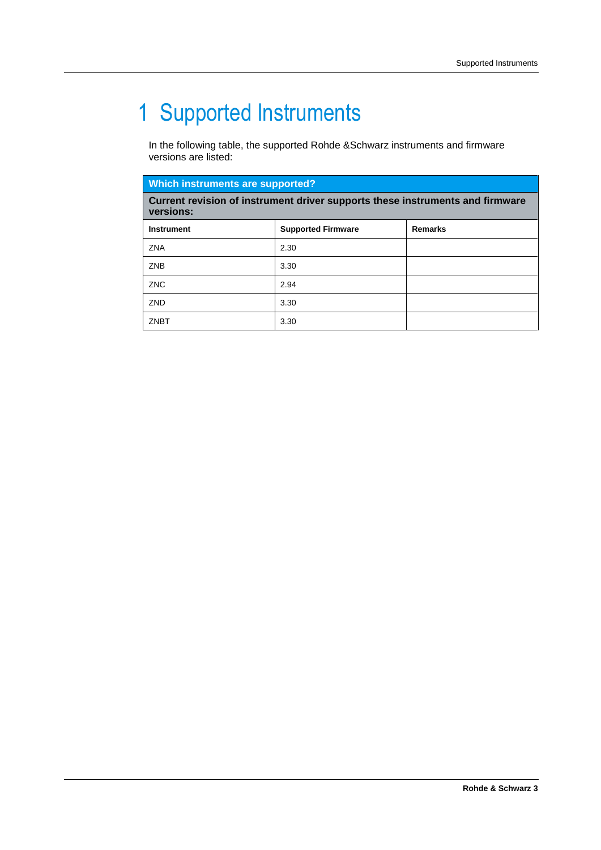# <span id="page-2-0"></span>1 Supported Instruments

In the following table, the supported Rohde &Schwarz instruments and firmware versions are listed:

| <b>Which instruments are supported?</b>                                                    |                           |                |  |
|--------------------------------------------------------------------------------------------|---------------------------|----------------|--|
| Current revision of instrument driver supports these instruments and firmware<br>versions: |                           |                |  |
| <b>Instrument</b>                                                                          | <b>Supported Firmware</b> | <b>Remarks</b> |  |
| <b>ZNA</b>                                                                                 | 2.30                      |                |  |
| <b>ZNB</b>                                                                                 | 3.30                      |                |  |
| <b>ZNC</b>                                                                                 | 2.94                      |                |  |
| ZND                                                                                        | 3.30                      |                |  |
| ZNBT                                                                                       | 3.30                      |                |  |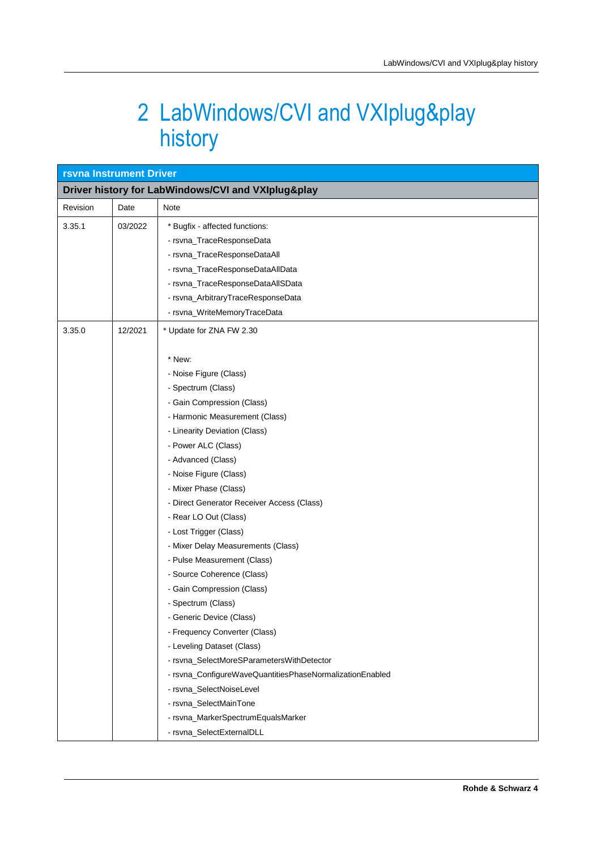### <span id="page-3-0"></span>2 LabWindows/CVI and VXIplug&play history

| <b>rsvna Instrument Driver</b>                     |  |                                                                                                                                                                                                                                                                                                                                                                                                                                                                                                                                                                                                                                                                                                                                                                                                                                                                          |  |
|----------------------------------------------------|--|--------------------------------------------------------------------------------------------------------------------------------------------------------------------------------------------------------------------------------------------------------------------------------------------------------------------------------------------------------------------------------------------------------------------------------------------------------------------------------------------------------------------------------------------------------------------------------------------------------------------------------------------------------------------------------------------------------------------------------------------------------------------------------------------------------------------------------------------------------------------------|--|
| Driver history for LabWindows/CVI and VXIplug&play |  |                                                                                                                                                                                                                                                                                                                                                                                                                                                                                                                                                                                                                                                                                                                                                                                                                                                                          |  |
| Revision<br>Date                                   |  | Note                                                                                                                                                                                                                                                                                                                                                                                                                                                                                                                                                                                                                                                                                                                                                                                                                                                                     |  |
| 3.35.1<br>03/2022                                  |  | * Bugfix - affected functions:<br>- rsvna_TraceResponseData<br>- rsvna_TraceResponseDataAll<br>- rsvna_TraceResponseDataAllData<br>- rsvna_TraceResponseDataAllSData<br>- rsvna_ArbitraryTraceResponseData<br>- rsvna_WriteMemoryTraceData                                                                                                                                                                                                                                                                                                                                                                                                                                                                                                                                                                                                                               |  |
| 3.35.0<br>12/2021                                  |  | * Update for ZNA FW 2.30<br>* New:<br>- Noise Figure (Class)<br>- Spectrum (Class)<br>- Gain Compression (Class)<br>- Harmonic Measurement (Class)<br>- Linearity Deviation (Class)<br>- Power ALC (Class)<br>- Advanced (Class)<br>- Noise Figure (Class)<br>- Mixer Phase (Class)<br>- Direct Generator Receiver Access (Class)<br>- Rear LO Out (Class)<br>- Lost Trigger (Class)<br>- Mixer Delay Measurements (Class)<br>- Pulse Measurement (Class)<br>- Source Coherence (Class)<br>- Gain Compression (Class)<br>- Spectrum (Class)<br>- Generic Device (Class)<br>- Frequency Converter (Class)<br>- Leveling Dataset (Class)<br>- rsvna_SelectMoreSParametersWithDetector<br>- rsvna_ConfigureWaveQuantitiesPhaseNormalizationEnabled<br>- rsvna_SelectNoiseLevel<br>- rsvna_SelectMainTone<br>- rsvna_MarkerSpectrumEqualsMarker<br>- rsvna_SelectExternalDLL |  |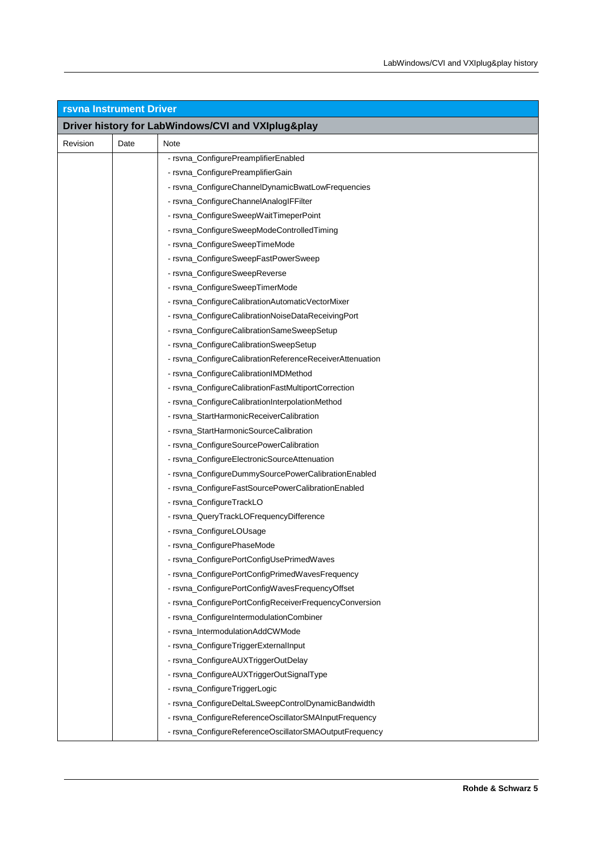| <b>rsvna Instrument Driver</b> |      |                                                          |
|--------------------------------|------|----------------------------------------------------------|
|                                |      | Driver history for LabWindows/CVI and VXIplug&play       |
| Revision                       | Date | Note                                                     |
|                                |      | - rsvna_ConfigurePreamplifierEnabled                     |
|                                |      | - rsvna_ConfigurePreamplifierGain                        |
|                                |      | - rsvna_ConfigureChannelDynamicBwatLowFrequencies        |
|                                |      | - rsvna_ConfigureChannelAnaloglFFilter                   |
|                                |      | - rsvna_ConfigureSweepWaitTimeperPoint                   |
|                                |      | - rsvna_ConfigureSweepModeControlledTiming               |
|                                |      | - rsvna_ConfigureSweepTimeMode                           |
|                                |      | - rsvna_ConfigureSweepFastPowerSweep                     |
|                                |      | - rsvna_ConfigureSweepReverse                            |
|                                |      | - rsvna_ConfigureSweepTimerMode                          |
|                                |      | - rsvna_ConfigureCalibrationAutomaticVectorMixer         |
|                                |      | - rsvna_ConfigureCalibrationNoiseDataReceivingPort       |
|                                |      | - rsvna_ConfigureCalibrationSameSweepSetup               |
|                                |      | - rsvna_ConfigureCalibrationSweepSetup                   |
|                                |      | - rsvna_ConfigureCalibrationReferenceReceiverAttenuation |
|                                |      | - rsvna_ConfigureCalibrationIMDMethod                    |
|                                |      | - rsvna_ConfigureCalibrationFastMultiportCorrection      |
|                                |      | - rsvna_ConfigureCalibrationInterpolationMethod          |
|                                |      | - rsvna_StartHarmonicReceiverCalibration                 |
|                                |      | - rsvna_StartHarmonicSourceCalibration                   |
|                                |      | - rsvna_ConfigureSourcePowerCalibration                  |
|                                |      | - rsvna_ConfigureElectronicSourceAttenuation             |
|                                |      | - rsvna_ConfigureDummySourcePowerCalibrationEnabled      |
|                                |      | - rsvna_ConfigureFastSourcePowerCalibrationEnabled       |
|                                |      | - rsvna_ConfigureTrackLO                                 |
|                                |      | - rsvna_QueryTrackLOFrequencyDifference                  |
|                                |      | - rsvna_ConfigureLOUsage                                 |
|                                |      | - rsvna_ConfigurePhaseMode                               |
|                                |      | - rsvna_ConfigurePortConfigUsePrimedWaves                |
|                                |      | - rsvna_ConfigurePortConfigPrimedWavesFrequency          |
|                                |      | - rsvna_ConfigurePortConfigWavesFrequencyOffset          |
|                                |      | - rsvna_ConfigurePortConfigReceiverFrequencyConversion   |
|                                |      | - rsvna_ConfigureIntermodulationCombiner                 |
|                                |      | - rsvna_IntermodulationAddCWMode                         |
|                                |      | - rsvna_ConfigureTriggerExternalInput                    |
|                                |      | - rsvna_ConfigureAUXTriggerOutDelay                      |
|                                |      | - rsvna_ConfigureAUXTriggerOutSignalType                 |
|                                |      | - rsvna_ConfigureTriggerLogic                            |
|                                |      | - rsvna_ConfigureDeltaLSweepControlDynamicBandwidth      |
|                                |      | - rsvna_ConfigureReferenceOscillatorSMAInputFrequency    |
|                                |      | - rsvna_ConfigureReferenceOscillatorSMAOutputFrequency   |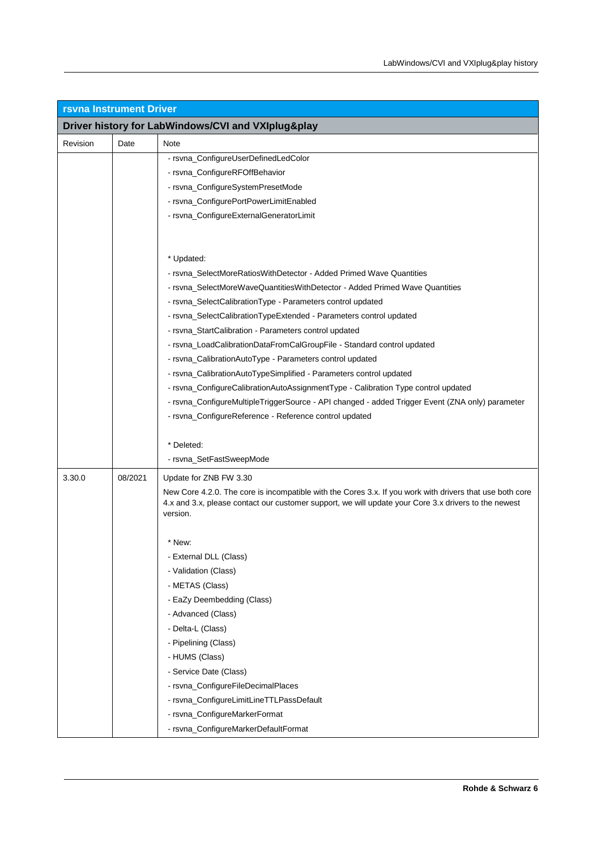| <b>rsvna Instrument Driver</b> |                                                    |                                                                                                                                                                                                                  |  |
|--------------------------------|----------------------------------------------------|------------------------------------------------------------------------------------------------------------------------------------------------------------------------------------------------------------------|--|
|                                | Driver history for LabWindows/CVI and VXIplug&play |                                                                                                                                                                                                                  |  |
| Revision                       | Date                                               | Note                                                                                                                                                                                                             |  |
|                                |                                                    | - rsvna_ConfigureUserDefinedLedColor                                                                                                                                                                             |  |
|                                |                                                    | - rsvna_ConfigureRFOffBehavior                                                                                                                                                                                   |  |
|                                |                                                    | - rsvna_ConfigureSystemPresetMode                                                                                                                                                                                |  |
|                                |                                                    | - rsvna_ConfigurePortPowerLimitEnabled                                                                                                                                                                           |  |
|                                |                                                    | - rsvna_ConfigureExternalGeneratorLimit                                                                                                                                                                          |  |
|                                |                                                    |                                                                                                                                                                                                                  |  |
|                                |                                                    |                                                                                                                                                                                                                  |  |
|                                |                                                    | * Updated:                                                                                                                                                                                                       |  |
|                                |                                                    | - rsvna_SelectMoreRatiosWithDetector - Added Primed Wave Quantities                                                                                                                                              |  |
|                                |                                                    | - rsvna_SelectMoreWaveQuantitiesWithDetector - Added Primed Wave Quantities                                                                                                                                      |  |
|                                |                                                    | - rsvna_SelectCalibrationType - Parameters control updated                                                                                                                                                       |  |
|                                |                                                    | - rsvna_SelectCalibrationTypeExtended - Parameters control updated                                                                                                                                               |  |
|                                |                                                    | - rsvna_StartCalibration - Parameters control updated                                                                                                                                                            |  |
|                                |                                                    | - rsvna_LoadCalibrationDataFromCalGroupFile - Standard control updated                                                                                                                                           |  |
|                                |                                                    | - rsvna_CalibrationAutoType - Parameters control updated                                                                                                                                                         |  |
|                                |                                                    | - rsvna_CalibrationAutoTypeSimplified - Parameters control updated                                                                                                                                               |  |
|                                |                                                    | - rsvna_ConfigureCalibrationAutoAssignmentType - Calibration Type control updated                                                                                                                                |  |
|                                |                                                    | - rsvna_ConfigureMultipleTriggerSource - API changed - added Trigger Event (ZNA only) parameter                                                                                                                  |  |
|                                |                                                    | - rsvna_ConfigureReference - Reference control updated                                                                                                                                                           |  |
|                                |                                                    |                                                                                                                                                                                                                  |  |
|                                |                                                    | * Deleted:                                                                                                                                                                                                       |  |
|                                |                                                    | - rsvna_SetFastSweepMode                                                                                                                                                                                         |  |
| 3.30.0                         | 08/2021                                            | Update for ZNB FW 3.30                                                                                                                                                                                           |  |
|                                |                                                    | New Core 4.2.0. The core is incompatible with the Cores 3.x. If you work with drivers that use both core<br>4.x and 3.x, please contact our customer support, we will update your Core 3.x drivers to the newest |  |
|                                |                                                    | version.                                                                                                                                                                                                         |  |
|                                |                                                    |                                                                                                                                                                                                                  |  |
|                                |                                                    | * New:                                                                                                                                                                                                           |  |
|                                |                                                    | - External DLL (Class)                                                                                                                                                                                           |  |
|                                |                                                    | - Validation (Class)                                                                                                                                                                                             |  |
|                                |                                                    | - METAS (Class)                                                                                                                                                                                                  |  |
|                                |                                                    | - EaZy Deembedding (Class)                                                                                                                                                                                       |  |
|                                |                                                    | - Advanced (Class)                                                                                                                                                                                               |  |
|                                |                                                    | - Delta-L (Class)                                                                                                                                                                                                |  |
|                                |                                                    | - Pipelining (Class)                                                                                                                                                                                             |  |
|                                |                                                    | - HUMS (Class)                                                                                                                                                                                                   |  |
|                                |                                                    | - Service Date (Class)                                                                                                                                                                                           |  |
|                                |                                                    | - rsvna_ConfigureFileDecimalPlaces                                                                                                                                                                               |  |
|                                |                                                    | - rsvna_ConfigureLimitLineTTLPassDefault                                                                                                                                                                         |  |
|                                |                                                    | - rsvna_ConfigureMarkerFormat                                                                                                                                                                                    |  |
|                                |                                                    | - rsvna_ConfigureMarkerDefaultFormat                                                                                                                                                                             |  |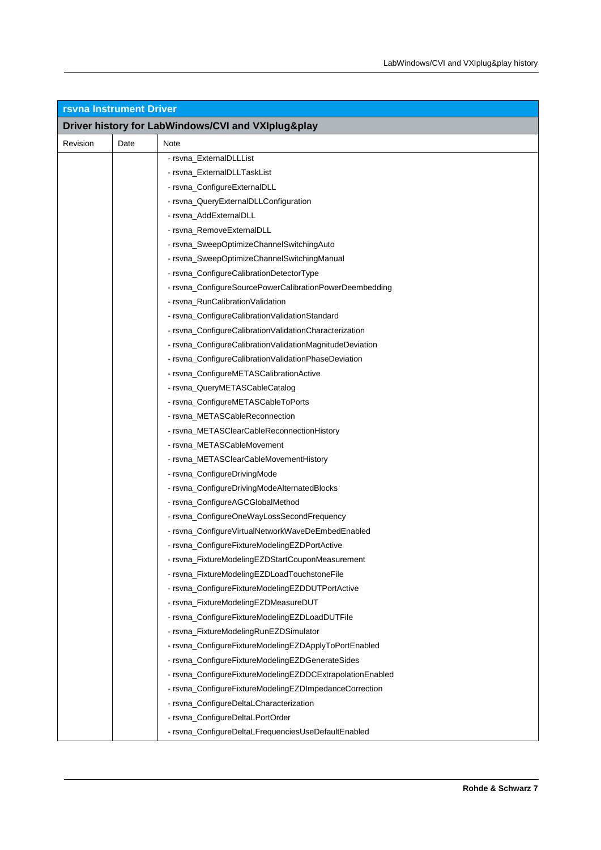| <b>rsvna Instrument Driver</b> |      |                                                           |  |
|--------------------------------|------|-----------------------------------------------------------|--|
|                                |      | Driver history for LabWindows/CVI and VXIplug&play        |  |
| Revision                       | Date | Note                                                      |  |
|                                |      | - rsvna_ExternalDLLList                                   |  |
|                                |      | - rsvna ExternalDLLTaskList                               |  |
|                                |      | - rsvna_ConfigureExternalDLL                              |  |
|                                |      | - rsvna_QueryExternalDLLConfiguration                     |  |
|                                |      | - rsvna_AddExternalDLL                                    |  |
|                                |      | - rsvna_RemoveExternalDLL                                 |  |
|                                |      | - rsvna_SweepOptimizeChannelSwitchingAuto                 |  |
|                                |      | - rsvna_SweepOptimizeChannelSwitchingManual               |  |
|                                |      | - rsvna_ConfigureCalibrationDetectorType                  |  |
|                                |      | - rsvna_ConfigureSourcePowerCalibrationPowerDeembedding   |  |
|                                |      | - rsvna RunCalibrationValidation                          |  |
|                                |      | - rsvna_ConfigureCalibrationValidationStandard            |  |
|                                |      | - rsvna_ConfigureCalibrationValidationCharacterization    |  |
|                                |      | - rsvna_ConfigureCalibrationValidationMagnitudeDeviation  |  |
|                                |      | - rsvna_ConfigureCalibrationValidationPhaseDeviation      |  |
|                                |      | - rsvna_ConfigureMETASCalibrationActive                   |  |
|                                |      | - rsvna_QueryMETASCableCatalog                            |  |
|                                |      | - rsvna_ConfigureMETASCableToPorts                        |  |
|                                |      | - rsvna_METASCableReconnection                            |  |
|                                |      | - rsvna_METASClearCableReconnectionHistory                |  |
|                                |      | - rsvna_METASCableMovement                                |  |
|                                |      | - rsvna_METASClearCableMovementHistory                    |  |
|                                |      | - rsvna_ConfigureDrivingMode                              |  |
|                                |      | - rsvna_ConfigureDrivingModeAlternatedBlocks              |  |
|                                |      | - rsvna_ConfigureAGCGlobalMethod                          |  |
|                                |      | - rsvna_ConfigureOneWayLossSecondFrequency                |  |
|                                |      | - rsvna_ConfigureVirtualNetworkWaveDeEmbedEnabled         |  |
|                                |      | - rsvna_ConfigureFixtureModelingEZDPortActive             |  |
|                                |      | - rsvna_FixtureModelingEZDStartCouponMeasurement          |  |
|                                |      | - rsvna_FixtureModelingEZDLoadTouchstoneFile              |  |
|                                |      | - rsvna_ConfigureFixtureModelingEZDDUTPortActive          |  |
|                                |      | - rsvna_FixtureModelingEZDMeasureDUT                      |  |
|                                |      | - rsvna_ConfigureFixtureModelingEZDLoadDUTFile            |  |
|                                |      | - rsvna_FixtureModelingRunEZDSimulator                    |  |
|                                |      | - rsvna_ConfigureFixtureModelingEZDApplyToPortEnabled     |  |
|                                |      | - rsvna_ConfigureFixtureModelingEZDGenerateSides          |  |
|                                |      | - rsvna_ConfigureFixtureModelingEZDDCExtrapolationEnabled |  |
|                                |      | - rsvna_ConfigureFixtureModelingEZDImpedanceCorrection    |  |
|                                |      | - rsvna_ConfigureDeltaLCharacterization                   |  |
|                                |      | - rsvna_ConfigureDeltaLPortOrder                          |  |
|                                |      | - rsvna_ConfigureDeltaLFrequenciesUseDefaultEnabled       |  |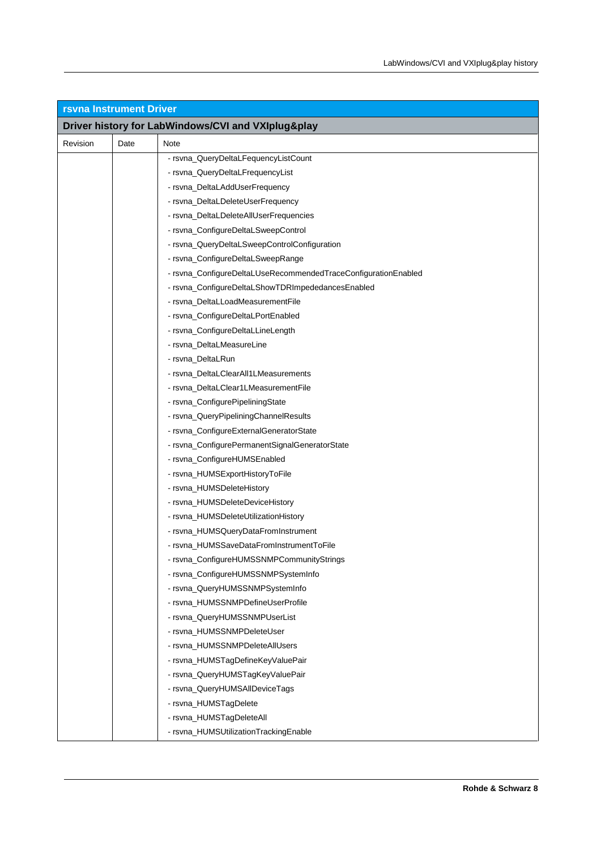| <b>rsvna Instrument Driver</b> |      |                                                                |  |
|--------------------------------|------|----------------------------------------------------------------|--|
|                                |      | Driver history for LabWindows/CVI and VXIplug&play             |  |
| Revision                       | Date | Note                                                           |  |
|                                |      | - rsvna_QueryDeltaLFequencyListCount                           |  |
|                                |      | - rsvna_QueryDeltaLFrequencyList                               |  |
|                                |      | - rsvna_DeltaLAddUserFrequency                                 |  |
|                                |      | - rsvna_DeltaLDeleteUserFrequency                              |  |
|                                |      | - rsvna_DeltaLDeleteAllUserFrequencies                         |  |
|                                |      | - rsvna_ConfigureDeltaLSweepControl                            |  |
|                                |      | - rsvna_QueryDeltaLSweepControlConfiguration                   |  |
|                                |      | - rsvna_ConfigureDeltaLSweepRange                              |  |
|                                |      | - rsvna_ConfigureDeltaLUseRecommendedTraceConfigurationEnabled |  |
|                                |      | - rsvna_ConfigureDeltaLShowTDRImpededancesEnabled              |  |
|                                |      | - rsvna_DeltaLLoadMeasurementFile                              |  |
|                                |      | - rsvna_ConfigureDeltaLPortEnabled                             |  |
|                                |      | - rsvna_ConfigureDeltaLLineLength                              |  |
|                                |      | - rsvna_DeltaLMeasureLine                                      |  |
|                                |      | - rsvna_DeltaLRun                                              |  |
|                                |      | - rsvna_DeltaLClearAll1LMeasurements                           |  |
|                                |      | - rsvna_DeltaLClear1LMeasurementFile                           |  |
|                                |      | - rsvna_ConfigurePipeliningState                               |  |
|                                |      | - rsvna_QueryPipeliningChannelResults                          |  |
|                                |      | - rsvna_ConfigureExternalGeneratorState                        |  |
|                                |      | - rsvna_ConfigurePermanentSignalGeneratorState                 |  |
|                                |      | - rsvna_ConfigureHUMSEnabled                                   |  |
|                                |      | - rsvna_HUMSExportHistoryToFile                                |  |
|                                |      | - rsvna_HUMSDeleteHistory                                      |  |
|                                |      | - rsvna_HUMSDeleteDeviceHistory                                |  |
|                                |      | - rsvna_HUMSDeleteUtilizationHistory                           |  |
|                                |      | - rsvna_HUMSQueryDataFromInstrument                            |  |
|                                |      | - rsvna_HUMSSaveDataFromInstrumentToFile                       |  |
|                                |      | - rsvna_ConfigureHUMSSNMPCommunityStrings                      |  |
|                                |      | - rsvna_ConfigureHUMSSNMPSystemInfo                            |  |
|                                |      | - rsvna_QueryHUMSSNMPSystemInfo                                |  |
|                                |      | - rsvna_HUMSSNMPDefineUserProfile                              |  |
|                                |      | - rsvna_QueryHUMSSNMPUserList                                  |  |
|                                |      | - rsvna_HUMSSNMPDeleteUser                                     |  |
|                                |      | - rsvna_HUMSSNMPDeleteAllUsers                                 |  |
|                                |      | - rsvna_HUMSTagDefineKeyValuePair                              |  |
|                                |      | - rsvna_QueryHUMSTagKeyValuePair                               |  |
|                                |      | - rsvna_QueryHUMSAIIDeviceTags                                 |  |
|                                |      | - rsvna_HUMSTagDelete                                          |  |
|                                |      | - rsvna_HUMSTagDeleteAll                                       |  |
|                                |      | - rsvna_HUMSUtilizationTrackingEnable                          |  |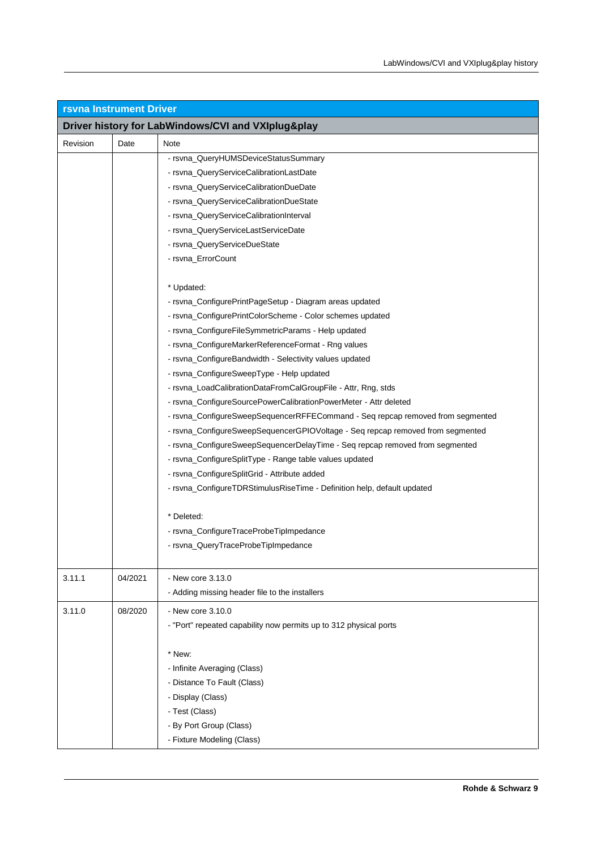| <b>rsvna Instrument Driver</b> |         |                                                                                |  |
|--------------------------------|---------|--------------------------------------------------------------------------------|--|
|                                |         | Driver history for LabWindows/CVI and VXIplug&play                             |  |
| Revision                       | Date    | Note                                                                           |  |
|                                |         | - rsvna_QueryHUMSDeviceStatusSummary                                           |  |
|                                |         | - rsvna_QueryServiceCalibrationLastDate                                        |  |
|                                |         | - rsvna_QueryServiceCalibrationDueDate                                         |  |
|                                |         | - rsvna_QueryServiceCalibrationDueState                                        |  |
|                                |         | - rsvna_QueryServiceCalibrationInterval                                        |  |
|                                |         | - rsvna_QueryServiceLastServiceDate                                            |  |
|                                |         | - rsvna_QueryServiceDueState                                                   |  |
|                                |         | - rsvna_ErrorCount                                                             |  |
|                                |         | * Updated:                                                                     |  |
|                                |         | - rsvna_ConfigurePrintPageSetup - Diagram areas updated                        |  |
|                                |         | - rsvna_ConfigurePrintColorScheme - Color schemes updated                      |  |
|                                |         | - rsvna_ConfigureFileSymmetricParams - Help updated                            |  |
|                                |         | - rsvna_ConfigureMarkerReferenceFormat - Rng values                            |  |
|                                |         | - rsvna_ConfigureBandwidth - Selectivity values updated                        |  |
|                                |         | - rsvna_ConfigureSweepType - Help updated                                      |  |
|                                |         | - rsvna_LoadCalibrationDataFromCalGroupFile - Attr, Rng, stds                  |  |
|                                |         | - rsvna_ConfigureSourcePowerCalibrationPowerMeter - Attr deleted               |  |
|                                |         | - rsvna_ConfigureSweepSequencerRFFECommand - Seq repcap removed from segmented |  |
|                                |         | - rsvna_ConfigureSweepSequencerGPIOVoltage - Seq repcap removed from segmented |  |
|                                |         | - rsvna_ConfigureSweepSequencerDelayTime - Seq repcap removed from segmented   |  |
|                                |         | - rsvna_ConfigureSplitType - Range table values updated                        |  |
|                                |         | - rsvna_ConfigureSplitGrid - Attribute added                                   |  |
|                                |         | - rsvna_ConfigureTDRStimulusRiseTime - Definition help, default updated        |  |
|                                |         | * Deleted:                                                                     |  |
|                                |         | - rsvna_ConfigureTraceProbeTipImpedance                                        |  |
|                                |         | - rsvna_QueryTraceProbeTipImpedance                                            |  |
| 3.11.1                         | 04/2021 | - New core 3.13.0                                                              |  |
|                                |         | - Adding missing header file to the installers                                 |  |
| 3.11.0                         | 08/2020 | - New core 3.10.0                                                              |  |
|                                |         | - "Port" repeated capability now permits up to 312 physical ports              |  |
|                                |         |                                                                                |  |
|                                |         | * New:                                                                         |  |
|                                |         | - Infinite Averaging (Class)                                                   |  |
|                                |         | - Distance To Fault (Class)                                                    |  |
|                                |         | - Display (Class)                                                              |  |
|                                |         | - Test (Class)                                                                 |  |
|                                |         | - By Port Group (Class)                                                        |  |
|                                |         | - Fixture Modeling (Class)                                                     |  |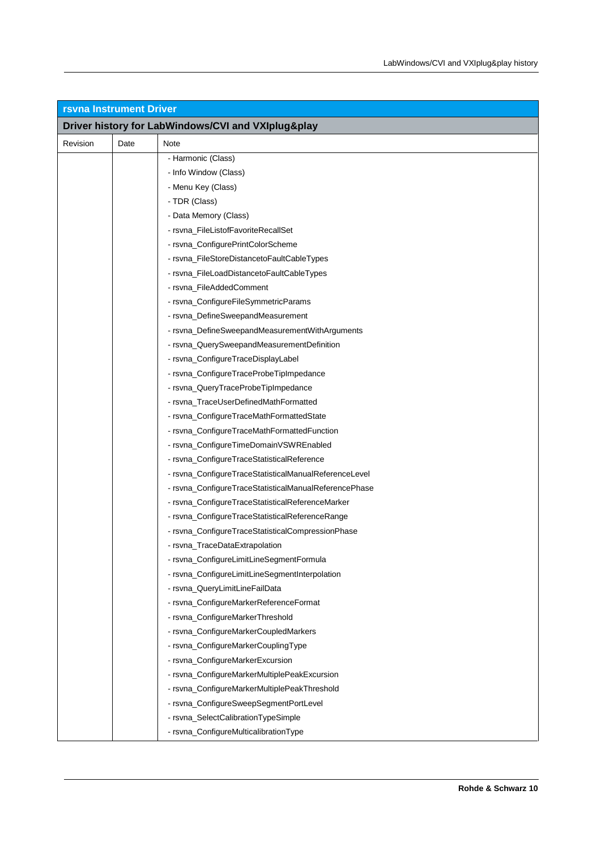| <b>rsvna Instrument Driver</b> |      |                                                       |  |
|--------------------------------|------|-------------------------------------------------------|--|
|                                |      | Driver history for LabWindows/CVI and VXIplug&play    |  |
| Revision                       | Date | Note                                                  |  |
|                                |      | - Harmonic (Class)                                    |  |
|                                |      | - Info Window (Class)                                 |  |
|                                |      | - Menu Key (Class)                                    |  |
|                                |      | - TDR (Class)                                         |  |
|                                |      | - Data Memory (Class)                                 |  |
|                                |      | - rsvna_FileListofFavoriteRecallSet                   |  |
|                                |      | - rsvna_ConfigurePrintColorScheme                     |  |
|                                |      | - rsvna_FileStoreDistancetoFaultCableTypes            |  |
|                                |      | - rsvna_FileLoadDistancetoFaultCableTypes             |  |
|                                |      | - rsvna_FileAddedComment                              |  |
|                                |      | - rsvna_ConfigureFileSymmetricParams                  |  |
|                                |      | - rsvna_DefineSweepandMeasurement                     |  |
|                                |      | - rsvna_DefineSweepandMeasurementWithArguments        |  |
|                                |      | - rsvna_QuerySweepandMeasurementDefinition            |  |
|                                |      | - rsvna_ConfigureTraceDisplayLabel                    |  |
|                                |      | - rsvna_ConfigureTraceProbeTipImpedance               |  |
|                                |      | - rsvna_QueryTraceProbeTipImpedance                   |  |
|                                |      | - rsvna_TraceUserDefinedMathFormatted                 |  |
|                                |      | - rsvna_ConfigureTraceMathFormattedState              |  |
|                                |      | - rsvna_ConfigureTraceMathFormattedFunction           |  |
|                                |      | - rsvna_ConfigureTimeDomainVSWREnabled                |  |
|                                |      | - rsvna_ConfigureTraceStatisticalReference            |  |
|                                |      | - rsvna_ConfigureTraceStatisticalManualReferenceLevel |  |
|                                |      | - rsvna_ConfigureTraceStatisticalManualReferencePhase |  |
|                                |      | - rsvna_ConfigureTraceStatisticalReferenceMarker      |  |
|                                |      | - rsvna_ConfigureTraceStatisticalReferenceRange       |  |
|                                |      | - rsvna_ConfigureTraceStatisticalCompressionPhase     |  |
|                                |      | - rsvna_TraceDataExtrapolation                        |  |
|                                |      | - rsvna_ConfigureLimitLineSegmentFormula              |  |
|                                |      | - rsvna_ConfigureLimitLineSegmentInterpolation        |  |
|                                |      | - rsvna_QueryLimitLineFailData                        |  |
|                                |      | - rsvna_ConfigureMarkerReferenceFormat                |  |
|                                |      | - rsvna_ConfigureMarkerThreshold                      |  |
|                                |      | - rsvna_ConfigureMarkerCoupledMarkers                 |  |
|                                |      | - rsvna_ConfigureMarkerCouplingType                   |  |
|                                |      | - rsvna_ConfigureMarkerExcursion                      |  |
|                                |      | - rsvna_ConfigureMarkerMultiplePeakExcursion          |  |
|                                |      | - rsvna_ConfigureMarkerMultiplePeakThreshold          |  |
|                                |      | - rsvna_ConfigureSweepSegmentPortLevel                |  |
|                                |      | - rsvna_SelectCalibrationTypeSimple                   |  |
|                                |      | - rsvna_ConfigureMulticalibrationType                 |  |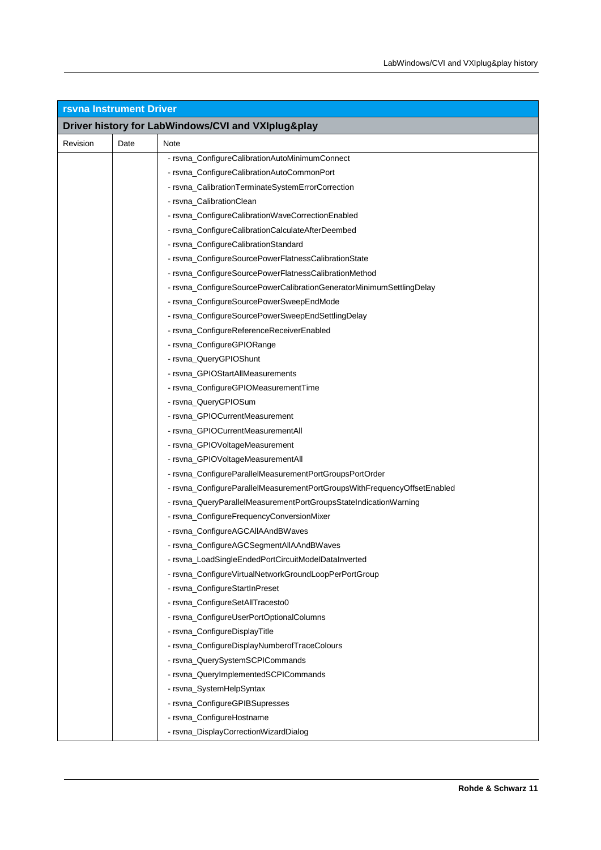| <b>rsvna Instrument Driver</b> |      |                                                                          |  |
|--------------------------------|------|--------------------------------------------------------------------------|--|
|                                |      | Driver history for LabWindows/CVI and VXIplug&play                       |  |
| Revision                       | Date | Note                                                                     |  |
|                                |      | - rsvna ConfigureCalibrationAutoMinimumConnect                           |  |
|                                |      | - rsvna_ConfigureCalibrationAutoCommonPort                               |  |
|                                |      | - rsvna_CalibrationTerminateSystemErrorCorrection                        |  |
|                                |      | - rsvna_CalibrationClean                                                 |  |
|                                |      | - rsvna_ConfigureCalibrationWaveCorrectionEnabled                        |  |
|                                |      | - rsvna_ConfigureCalibrationCalculateAfterDeembed                        |  |
|                                |      | - rsvna_ConfigureCalibrationStandard                                     |  |
|                                |      | - rsvna_ConfigureSourcePowerFlatnessCalibrationState                     |  |
|                                |      | - rsvna_ConfigureSourcePowerFlatnessCalibrationMethod                    |  |
|                                |      | - rsvna_ConfigureSourcePowerCalibrationGeneratorMinimumSettlingDelay     |  |
|                                |      | - rsvna_ConfigureSourcePowerSweepEndMode                                 |  |
|                                |      | - rsvna_ConfigureSourcePowerSweepEndSettlingDelay                        |  |
|                                |      | - rsvna_ConfigureReferenceReceiverEnabled                                |  |
|                                |      | - rsvna_ConfigureGPIORange                                               |  |
|                                |      | - rsvna_QueryGPIOShunt                                                   |  |
|                                |      | - rsvna_GPIOStartAllMeasurements                                         |  |
|                                |      | - rsvna_ConfigureGPIOMeasurementTime                                     |  |
|                                |      | - rsvna_QueryGPIOSum                                                     |  |
|                                |      | - rsvna_GPIOCurrentMeasurement                                           |  |
|                                |      | - rsvna_GPIOCurrentMeasurementAll                                        |  |
|                                |      | - rsvna_GPIOVoltageMeasurement                                           |  |
|                                |      | - rsvna_GPIOVoltageMeasurementAll                                        |  |
|                                |      | - rsvna_ConfigureParallelMeasurementPortGroupsPortOrder                  |  |
|                                |      | - rsvna_ConfigureParallelMeasurementPortGroupsWithFrequencyOffsetEnabled |  |
|                                |      | - rsvna_QueryParallelMeasurementPortGroupsStateIndicationWarning         |  |
|                                |      | - rsvna_ConfigureFrequencyConversionMixer                                |  |
|                                |      | - rsvna_ConfigureAGCAllAAndBWaves                                        |  |
|                                |      | - rsvna_ConfigureAGCSegmentAllAAndBWaves                                 |  |
|                                |      | - rsvna_LoadSingleEndedPortCircuitModelDataInverted                      |  |
|                                |      | - rsvna_ConfigureVirtualNetworkGroundLoopPerPortGroup                    |  |
|                                |      | - rsvna_ConfigureStartInPreset                                           |  |
|                                |      | - rsvna_ConfigureSetAllTracesto0                                         |  |
|                                |      | - rsvna_ConfigureUserPortOptionalColumns                                 |  |
|                                |      | - rsvna_ConfigureDisplayTitle                                            |  |
|                                |      | - rsvna_ConfigureDisplayNumberofTraceColours                             |  |
|                                |      | - rsvna_QuerySystemSCPICommands                                          |  |
|                                |      | - rsvna_QueryImplementedSCPICommands                                     |  |
|                                |      | - rsvna_SystemHelpSyntax                                                 |  |
|                                |      | - rsvna_ConfigureGPIBSupresses                                           |  |
|                                |      | - rsvna_ConfigureHostname                                                |  |
|                                |      | - rsvna_DisplayCorrectionWizardDialog                                    |  |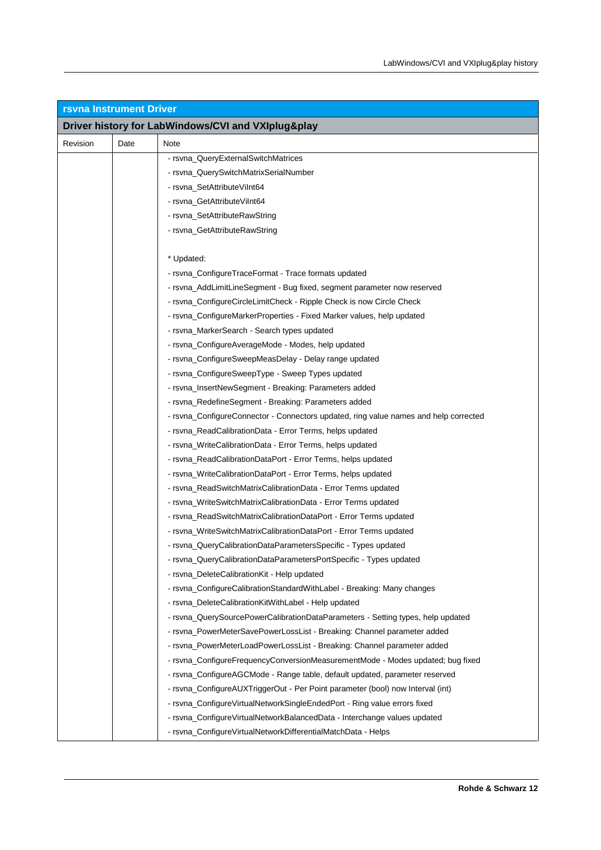| <b>rsvna Instrument Driver</b> |      |                                                                                      |  |
|--------------------------------|------|--------------------------------------------------------------------------------------|--|
|                                |      | Driver history for LabWindows/CVI and VXIplug&play                                   |  |
| Revision                       | Date | Note                                                                                 |  |
|                                |      | - rsvna_QueryExternalSwitchMatrices                                                  |  |
|                                |      | - rsvna_QuerySwitchMatrixSerialNumber                                                |  |
|                                |      | - rsvna_SetAttributeViInt64                                                          |  |
|                                |      | - rsvna_GetAttributeViInt64                                                          |  |
|                                |      | - rsvna_SetAttributeRawString                                                        |  |
|                                |      | - rsvna_GetAttributeRawString                                                        |  |
|                                |      |                                                                                      |  |
|                                |      | * Updated:                                                                           |  |
|                                |      | - rsvna_ConfigureTraceFormat - Trace formats updated                                 |  |
|                                |      | - rsvna_AddLimitLineSegment - Bug fixed, segment parameter now reserved              |  |
|                                |      | - rsvna_ConfigureCircleLimitCheck - Ripple Check is now Circle Check                 |  |
|                                |      | - rsvna_ConfigureMarkerProperties - Fixed Marker values, help updated                |  |
|                                |      | - rsvna_MarkerSearch - Search types updated                                          |  |
|                                |      | - rsvna_ConfigureAverageMode - Modes, help updated                                   |  |
|                                |      | - rsvna_ConfigureSweepMeasDelay - Delay range updated                                |  |
|                                |      | - rsvna_ConfigureSweepType - Sweep Types updated                                     |  |
|                                |      | - rsvna_InsertNewSegment - Breaking: Parameters added                                |  |
|                                |      | - rsvna_RedefineSegment - Breaking: Parameters added                                 |  |
|                                |      | - rsvna_ConfigureConnector - Connectors updated, ring value names and help corrected |  |
|                                |      | - rsvna_ReadCalibrationData - Error Terms, helps updated                             |  |
|                                |      | - rsvna_WriteCalibrationData - Error Terms, helps updated                            |  |
|                                |      | - rsvna_ReadCalibrationDataPort - Error Terms, helps updated                         |  |
|                                |      | - rsvna_WriteCalibrationDataPort - Error Terms, helps updated                        |  |
|                                |      | - rsvna_ReadSwitchMatrixCalibrationData - Error Terms updated                        |  |
|                                |      | - rsvna_WriteSwitchMatrixCalibrationData - Error Terms updated                       |  |
|                                |      | - rsvna_ReadSwitchMatrixCalibrationDataPort - Error Terms updated                    |  |
|                                |      | - rsvna_WriteSwitchMatrixCalibrationDataPort - Error Terms updated                   |  |
|                                |      | - rsvna_QueryCalibrationDataParametersSpecific - Types updated                       |  |
|                                |      | - rsvna_QueryCalibrationDataParametersPortSpecific - Types updated                   |  |
|                                |      | - rsvna_DeleteCalibrationKit - Help updated                                          |  |
|                                |      | - rsvna_ConfigureCalibrationStandardWithLabel - Breaking: Many changes               |  |
|                                |      | - rsvna_DeleteCalibrationKitWithLabel - Help updated                                 |  |
|                                |      | - rsvna_QuerySourcePowerCalibrationDataParameters - Setting types, help updated      |  |
|                                |      | - rsvna_PowerMeterSavePowerLossList - Breaking: Channel parameter added              |  |
|                                |      | - rsvna_PowerMeterLoadPowerLossList - Breaking: Channel parameter added              |  |
|                                |      | - rsvna_ConfigureFrequencyConversionMeasurementMode - Modes updated; bug fixed       |  |
|                                |      | - rsvna_ConfigureAGCMode - Range table, default updated, parameter reserved          |  |
|                                |      | - rsvna_ConfigureAUXTriggerOut - Per Point parameter (bool) now Interval (int)       |  |
|                                |      | - rsvna_ConfigureVirtualNetworkSingleEndedPort - Ring value errors fixed             |  |
|                                |      | - rsvna_ConfigureVirtualNetworkBalancedData - Interchange values updated             |  |
|                                |      | - rsvna_ConfigureVirtualNetworkDifferentialMatchData - Helps                         |  |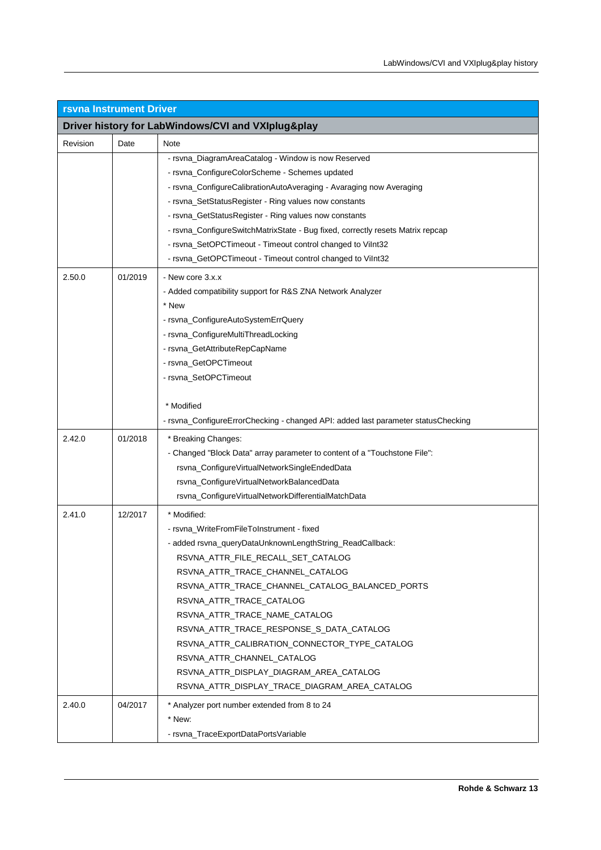| <b>rsvna Instrument Driver</b> |                                                    |                                                                                   |  |  |
|--------------------------------|----------------------------------------------------|-----------------------------------------------------------------------------------|--|--|
|                                | Driver history for LabWindows/CVI and VXIplug&play |                                                                                   |  |  |
| Revision                       | Date                                               | Note                                                                              |  |  |
|                                |                                                    | - rsvna DiagramAreaCatalog - Window is now Reserved                               |  |  |
|                                |                                                    | - rsvna_ConfigureColorScheme - Schemes updated                                    |  |  |
|                                |                                                    | - rsvna_ConfigureCalibrationAutoAveraging - Avaraging now Averaging               |  |  |
|                                |                                                    | - rsvna_SetStatusRegister - Ring values now constants                             |  |  |
|                                |                                                    | - rsvna_GetStatusRegister - Ring values now constants                             |  |  |
|                                |                                                    | - rsvna_ConfigureSwitchMatrixState - Bug fixed, correctly resets Matrix repcap    |  |  |
|                                |                                                    | - rsvna_SetOPCTimeout - Timeout control changed to Vilnt32                        |  |  |
|                                |                                                    | - rsvna_GetOPCTimeout - Timeout control changed to Vilnt32                        |  |  |
| 2.50.0                         | 01/2019                                            | - New core 3.x.x                                                                  |  |  |
|                                |                                                    | - Added compatibility support for R&S ZNA Network Analyzer                        |  |  |
|                                |                                                    | * New                                                                             |  |  |
|                                |                                                    | - rsvna_ConfigureAutoSystemErrQuery                                               |  |  |
|                                |                                                    | - rsvna_ConfigureMultiThreadLocking                                               |  |  |
|                                |                                                    | - rsvna_GetAttributeRepCapName                                                    |  |  |
|                                |                                                    | - rsvna_GetOPCTimeout                                                             |  |  |
|                                |                                                    | - rsvna_SetOPCTimeout                                                             |  |  |
|                                |                                                    |                                                                                   |  |  |
|                                |                                                    | * Modified                                                                        |  |  |
|                                |                                                    | - rsvna_ConfigureErrorChecking - changed API: added last parameter statusChecking |  |  |
| 2.42.0                         | 01/2018                                            | * Breaking Changes:                                                               |  |  |
|                                |                                                    | - Changed "Block Data" array parameter to content of a "Touchstone File":         |  |  |
|                                |                                                    | rsvna_ConfigureVirtualNetworkSingleEndedData                                      |  |  |
|                                |                                                    | rsvna_ConfigureVirtualNetworkBalancedData                                         |  |  |
|                                |                                                    | rsvna_ConfigureVirtualNetworkDifferentialMatchData                                |  |  |
| 2.41.0                         | 12/2017                                            | * Modified:                                                                       |  |  |
|                                |                                                    | - rsvna_WriteFromFileToInstrument - fixed                                         |  |  |
|                                |                                                    | - added rsvna_queryDataUnknownLengthString_ReadCallback:                          |  |  |
|                                |                                                    | RSVNA_ATTR_FILE_RECALL_SET_CATALOG                                                |  |  |
|                                |                                                    | RSVNA_ATTR_TRACE_CHANNEL_CATALOG                                                  |  |  |
|                                |                                                    | RSVNA_ATTR_TRACE_CHANNEL_CATALOG_BALANCED_PORTS                                   |  |  |
|                                |                                                    | RSVNA_ATTR_TRACE_CATALOG                                                          |  |  |
|                                |                                                    | RSVNA_ATTR_TRACE_NAME_CATALOG                                                     |  |  |
|                                |                                                    | RSVNA_ATTR_TRACE_RESPONSE_S_DATA_CATALOG                                          |  |  |
|                                |                                                    | RSVNA_ATTR_CALIBRATION_CONNECTOR_TYPE_CATALOG                                     |  |  |
|                                |                                                    | RSVNA_ATTR_CHANNEL_CATALOG                                                        |  |  |
|                                |                                                    | RSVNA ATTR DISPLAY DIAGRAM AREA CATALOG                                           |  |  |
|                                |                                                    | RSVNA_ATTR_DISPLAY_TRACE_DIAGRAM_AREA_CATALOG                                     |  |  |
| 2.40.0                         | 04/2017                                            | * Analyzer port number extended from 8 to 24                                      |  |  |
|                                |                                                    | * New:                                                                            |  |  |
|                                |                                                    | - rsvna_TraceExportDataPortsVariable                                              |  |  |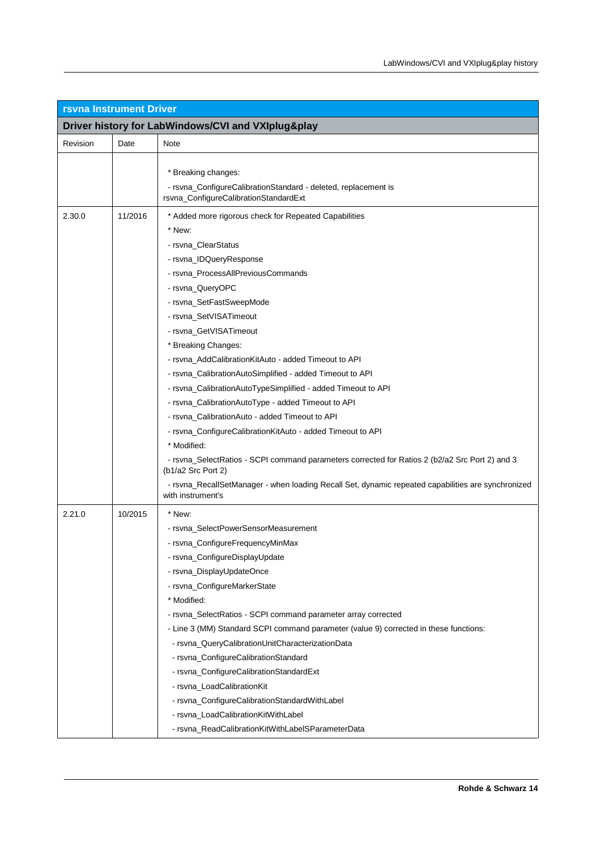| <b>rsvna Instrument Driver</b>                     |         |                                                                                                                                                                                                                                                                                                                                                                                                                                                                                                                                                                                                                                                                                                                                                                                                                                                                                           |  |
|----------------------------------------------------|---------|-------------------------------------------------------------------------------------------------------------------------------------------------------------------------------------------------------------------------------------------------------------------------------------------------------------------------------------------------------------------------------------------------------------------------------------------------------------------------------------------------------------------------------------------------------------------------------------------------------------------------------------------------------------------------------------------------------------------------------------------------------------------------------------------------------------------------------------------------------------------------------------------|--|
| Driver history for LabWindows/CVI and VXIplug&play |         |                                                                                                                                                                                                                                                                                                                                                                                                                                                                                                                                                                                                                                                                                                                                                                                                                                                                                           |  |
| Revision                                           | Date    | Note                                                                                                                                                                                                                                                                                                                                                                                                                                                                                                                                                                                                                                                                                                                                                                                                                                                                                      |  |
|                                                    |         | * Breaking changes:<br>- rsvna_ConfigureCalibrationStandard - deleted, replacement is<br>rsvna_ConfigureCalibrationStandardExt                                                                                                                                                                                                                                                                                                                                                                                                                                                                                                                                                                                                                                                                                                                                                            |  |
| 2.30.0                                             | 11/2016 | * Added more rigorous check for Repeated Capabilities<br>* New:<br>- rsvna_ClearStatus<br>- rsvna_IDQueryResponse<br>- rsvna_ProcessAllPreviousCommands<br>- rsvna_QueryOPC<br>- rsvna_SetFastSweepMode<br>- rsvna SetVISATimeout<br>- rsvna_GetVISATimeout<br>* Breaking Changes:<br>- rsvna AddCalibrationKitAuto - added Timeout to API<br>- rsvna_CalibrationAutoSimplified - added Timeout to API<br>- rsvna_CalibrationAutoTypeSimplified - added Timeout to API<br>- rsvna_CalibrationAutoType - added Timeout to API<br>- rsvna_CalibrationAuto - added Timeout to API<br>- rsvna_ConfigureCalibrationKitAuto - added Timeout to API<br>* Modified:<br>- rsvna_SelectRatios - SCPI command parameters corrected for Ratios 2 (b2/a2 Src Port 2) and 3<br>(b1/a2 Src Port 2)<br>- rsvna_RecallSetManager - when loading Recall Set, dynamic repeated capabilities are synchronized |  |
| 2.21.0                                             | 10/2015 | with instrument's<br>* New:<br>- rsvna SelectPowerSensorMeasurement<br>- rsvna_ConfigureFrequencyMinMax<br>- rsvna_ConfigureDisplayUpdate<br>- rsvna_DisplayUpdateOnce<br>- rsvna_ConfigureMarkerState<br>* Modified:                                                                                                                                                                                                                                                                                                                                                                                                                                                                                                                                                                                                                                                                     |  |
|                                                    |         | - rsvna_SelectRatios - SCPI command parameter array corrected<br>- Line 3 (MM) Standard SCPI command parameter (value 9) corrected in these functions:<br>- rsvna_QueryCalibrationUnitCharacterizationData<br>- rsvna_ConfigureCalibrationStandard<br>- rsvna_ConfigureCalibrationStandardExt<br>- rsvna_LoadCalibrationKit<br>- rsvna_ConfigureCalibrationStandardWithLabel<br>- rsvna_LoadCalibrationKitWithLabel<br>- rsvna_ReadCalibrationKitWithLabelSParameterData                                                                                                                                                                                                                                                                                                                                                                                                                  |  |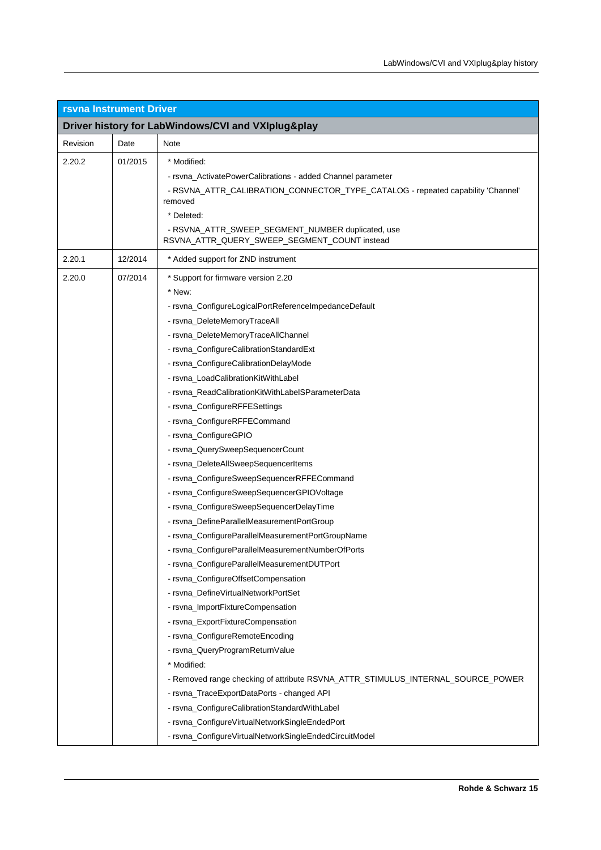| <b>rsvna Instrument Driver</b> |                                                    |                                                                                                                                                                                                                                                                                                                                                                                                                                                                                                                                                                                                                                                                                                                                                                                                                                                                                                                                                                                                                                                                                                                                                                                                                                                                                                                                                                                                                               |  |
|--------------------------------|----------------------------------------------------|-------------------------------------------------------------------------------------------------------------------------------------------------------------------------------------------------------------------------------------------------------------------------------------------------------------------------------------------------------------------------------------------------------------------------------------------------------------------------------------------------------------------------------------------------------------------------------------------------------------------------------------------------------------------------------------------------------------------------------------------------------------------------------------------------------------------------------------------------------------------------------------------------------------------------------------------------------------------------------------------------------------------------------------------------------------------------------------------------------------------------------------------------------------------------------------------------------------------------------------------------------------------------------------------------------------------------------------------------------------------------------------------------------------------------------|--|
|                                | Driver history for LabWindows/CVI and VXIplug&play |                                                                                                                                                                                                                                                                                                                                                                                                                                                                                                                                                                                                                                                                                                                                                                                                                                                                                                                                                                                                                                                                                                                                                                                                                                                                                                                                                                                                                               |  |
| Revision                       | Date                                               | Note                                                                                                                                                                                                                                                                                                                                                                                                                                                                                                                                                                                                                                                                                                                                                                                                                                                                                                                                                                                                                                                                                                                                                                                                                                                                                                                                                                                                                          |  |
| 2.20.2                         | 01/2015                                            | * Modified:<br>- rsvna_ActivatePowerCalibrations - added Channel parameter<br>- RSVNA_ATTR_CALIBRATION_CONNECTOR_TYPE_CATALOG - repeated capability 'Channel'<br>removed<br>* Deleted:<br>- RSVNA_ATTR_SWEEP_SEGMENT_NUMBER duplicated, use<br>RSVNA_ATTR_QUERY_SWEEP_SEGMENT_COUNT instead                                                                                                                                                                                                                                                                                                                                                                                                                                                                                                                                                                                                                                                                                                                                                                                                                                                                                                                                                                                                                                                                                                                                   |  |
| 2.20.1                         | 12/2014                                            | * Added support for ZND instrument                                                                                                                                                                                                                                                                                                                                                                                                                                                                                                                                                                                                                                                                                                                                                                                                                                                                                                                                                                                                                                                                                                                                                                                                                                                                                                                                                                                            |  |
| 2.20.0                         | 07/2014                                            | * Support for firmware version 2.20<br>* New:<br>- rsvna_ConfigureLogicalPortReferenceImpedanceDefault<br>- rsvna_DeleteMemoryTraceAll<br>- rsvna_DeleteMemoryTraceAllChannel<br>- rsvna_ConfigureCalibrationStandardExt<br>- rsvna_ConfigureCalibrationDelayMode<br>- rsvna_LoadCalibrationKitWithLabel<br>- rsvna_ReadCalibrationKitWithLabelSParameterData<br>- rsvna_ConfigureRFFESettings<br>- rsvna_ConfigureRFFECommand<br>- rsvna_ConfigureGPIO<br>- rsvna_QuerySweepSequencerCount<br>- rsvna_DeleteAllSweepSequencerItems<br>- rsvna_ConfigureSweepSequencerRFFECommand<br>- rsvna_ConfigureSweepSequencerGPIOVoltage<br>- rsvna_ConfigureSweepSequencerDelayTime<br>- rsvna_DefineParallelMeasurementPortGroup<br>- rsvna_ConfigureParallelMeasurementPortGroupName<br>- rsvna ConfigureParallelMeasurementNumberOfPorts<br>- rsvna_ConfigureParallelMeasurementDUTPort<br>- rsvna_ConfigureOffsetCompensation<br>- rsvna_DefineVirtualNetworkPortSet<br>- rsvna_ImportFixtureCompensation<br>- rsvna_ExportFixtureCompensation<br>- rsvna_ConfigureRemoteEncoding<br>- rsvna_QueryProgramReturnValue<br>* Modified:<br>- Removed range checking of attribute RSVNA_ATTR_STIMULUS_INTERNAL_SOURCE_POWER<br>- rsvna_TraceExportDataPorts - changed API<br>- rsvna_ConfigureCalibrationStandardWithLabel<br>- rsvna_ConfigureVirtualNetworkSingleEndedPort<br>- rsvna_ConfigureVirtualNetworkSingleEndedCircuitModel |  |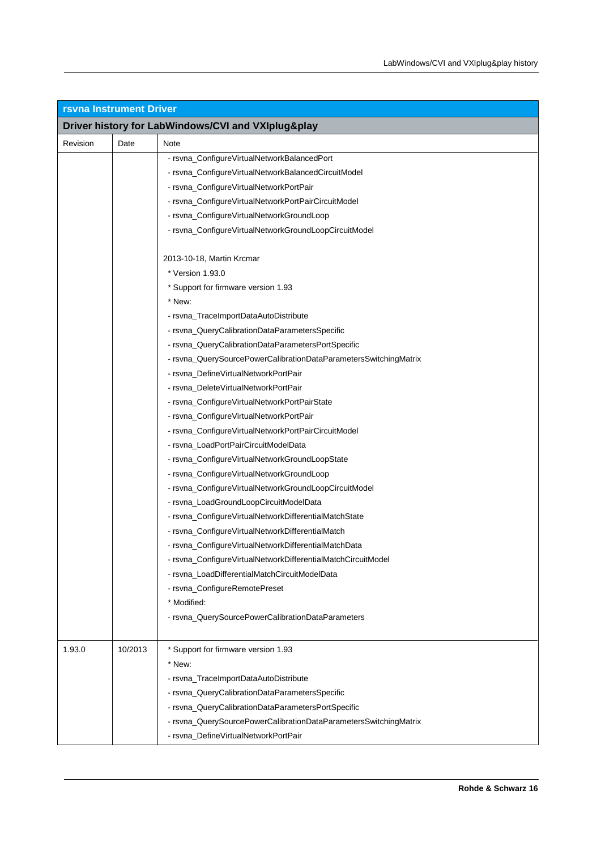| <b>rsvna Instrument Driver</b>                     |         |                                                                  |  |
|----------------------------------------------------|---------|------------------------------------------------------------------|--|
| Driver history for LabWindows/CVI and VXIplug&play |         |                                                                  |  |
| Revision                                           | Date    | Note                                                             |  |
|                                                    |         | - rsvna_ConfigureVirtualNetworkBalancedPort                      |  |
|                                                    |         | - rsvna_ConfigureVirtualNetworkBalancedCircuitModel              |  |
|                                                    |         | - rsvna_ConfigureVirtualNetworkPortPair                          |  |
|                                                    |         | - rsvna_ConfigureVirtualNetworkPortPairCircuitModel              |  |
|                                                    |         | - rsvna_ConfigureVirtualNetworkGroundLoop                        |  |
|                                                    |         | - rsvna_ConfigureVirtualNetworkGroundLoopCircuitModel            |  |
|                                                    |         | 2013-10-18, Martin Krcmar                                        |  |
|                                                    |         | * Version 1.93.0                                                 |  |
|                                                    |         | * Support for firmware version 1.93                              |  |
|                                                    |         | * New:                                                           |  |
|                                                    |         | - rsvna_TraceImportDataAutoDistribute                            |  |
|                                                    |         | - rsvna_QueryCalibrationDataParametersSpecific                   |  |
|                                                    |         | - rsvna_QueryCalibrationDataParametersPortSpecific               |  |
|                                                    |         | - rsvna_QuerySourcePowerCalibrationDataParametersSwitchingMatrix |  |
|                                                    |         | - rsvna_DefineVirtualNetworkPortPair                             |  |
|                                                    |         | - rsvna_DeleteVirtualNetworkPortPair                             |  |
|                                                    |         | - rsvna_ConfigureVirtualNetworkPortPairState                     |  |
|                                                    |         | - rsvna_ConfigureVirtualNetworkPortPair                          |  |
|                                                    |         | - rsvna_ConfigureVirtualNetworkPortPairCircuitModel              |  |
|                                                    |         | - rsvna_LoadPortPairCircuitModelData                             |  |
|                                                    |         | - rsvna_ConfigureVirtualNetworkGroundLoopState                   |  |
|                                                    |         | - rsvna_ConfigureVirtualNetworkGroundLoop                        |  |
|                                                    |         | - rsvna_ConfigureVirtualNetworkGroundLoopCircuitModel            |  |
|                                                    |         | - rsvna_LoadGroundLoopCircuitModelData                           |  |
|                                                    |         | - rsvna_ConfigureVirtualNetworkDifferentialMatchState            |  |
|                                                    |         | - rsvna_ConfigureVirtualNetworkDifferentialMatch                 |  |
|                                                    |         | - rsvna_ConfigureVirtualNetworkDifferentialMatchData             |  |
|                                                    |         | - rsvna_ConfigureVirtualNetworkDifferentialMatchCircuitModel     |  |
|                                                    |         | - rsvna LoadDifferentialMatchCircuitModelData                    |  |
|                                                    |         | - rsvna_ConfigureRemotePreset                                    |  |
|                                                    |         | * Modified:                                                      |  |
|                                                    |         | - rsvna_QuerySourcePowerCalibrationDataParameters                |  |
| 1.93.0                                             | 10/2013 | * Support for firmware version 1.93                              |  |
|                                                    |         | * New:                                                           |  |
|                                                    |         | - rsvna_TraceImportDataAutoDistribute                            |  |
|                                                    |         | - rsvna_QueryCalibrationDataParametersSpecific                   |  |
|                                                    |         | - rsvna_QueryCalibrationDataParametersPortSpecific               |  |
|                                                    |         | - rsvna_QuerySourcePowerCalibrationDataParametersSwitchingMatrix |  |
|                                                    |         | - rsvna_DefineVirtualNetworkPortPair                             |  |
|                                                    |         |                                                                  |  |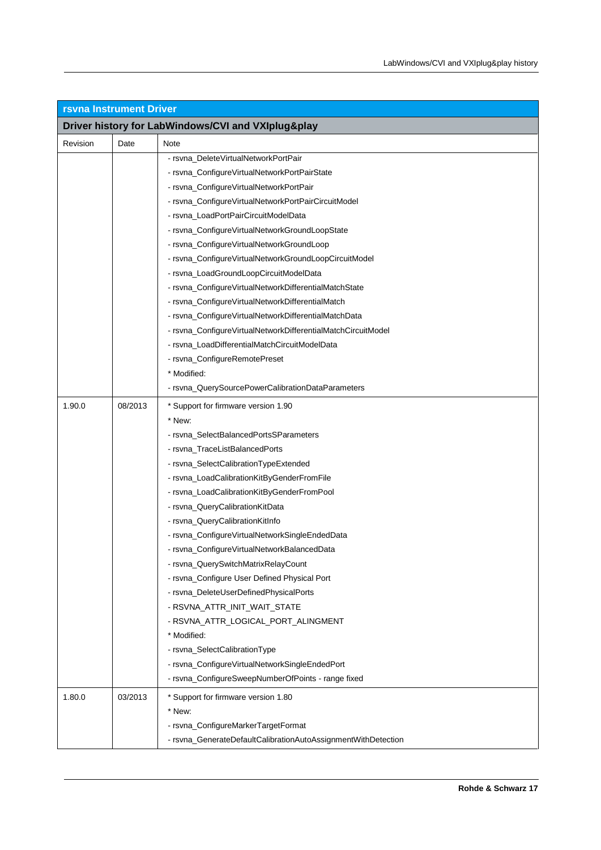| <b>rsvna Instrument Driver</b>                     |         |                                                               |  |
|----------------------------------------------------|---------|---------------------------------------------------------------|--|
| Driver history for LabWindows/CVI and VXIplug&play |         |                                                               |  |
| Revision                                           | Date    | Note                                                          |  |
|                                                    |         | - rsvna DeleteVirtualNetworkPortPair                          |  |
|                                                    |         | - rsvna_ConfigureVirtualNetworkPortPairState                  |  |
|                                                    |         | - rsvna_ConfigureVirtualNetworkPortPair                       |  |
|                                                    |         | - rsvna_ConfigureVirtualNetworkPortPairCircuitModel           |  |
|                                                    |         | - rsvna_LoadPortPairCircuitModelData                          |  |
|                                                    |         | - rsvna_ConfigureVirtualNetworkGroundLoopState                |  |
|                                                    |         | - rsvna_ConfigureVirtualNetworkGroundLoop                     |  |
|                                                    |         | - rsvna_ConfigureVirtualNetworkGroundLoopCircuitModel         |  |
|                                                    |         | - rsvna_LoadGroundLoopCircuitModelData                        |  |
|                                                    |         | - rsvna_ConfigureVirtualNetworkDifferentialMatchState         |  |
|                                                    |         | - rsvna_ConfigureVirtualNetworkDifferentialMatch              |  |
|                                                    |         | - rsvna_ConfigureVirtualNetworkDifferentialMatchData          |  |
|                                                    |         | - rsvna_ConfigureVirtualNetworkDifferentialMatchCircuitModel  |  |
|                                                    |         | - rsvna_LoadDifferentialMatchCircuitModelData                 |  |
|                                                    |         | - rsvna_ConfigureRemotePreset                                 |  |
|                                                    |         | * Modified:                                                   |  |
|                                                    |         | - rsvna_QuerySourcePowerCalibrationDataParameters             |  |
| 1.90.0                                             | 08/2013 | * Support for firmware version 1.90                           |  |
|                                                    |         | * New:                                                        |  |
|                                                    |         | - rsvna_SelectBalancedPortsSParameters                        |  |
|                                                    |         | - rsvna_TraceListBalancedPorts                                |  |
|                                                    |         | - rsvna_SelectCalibrationTypeExtended                         |  |
|                                                    |         | - rsvna_LoadCalibrationKitByGenderFromFile                    |  |
|                                                    |         | - rsvna_LoadCalibrationKitByGenderFromPool                    |  |
|                                                    |         | - rsvna_QueryCalibrationKitData                               |  |
|                                                    |         | - rsvna_QueryCalibrationKitInfo                               |  |
|                                                    |         | - rsvna_ConfigureVirtualNetworkSingleEndedData                |  |
|                                                    |         | - rsvna_ConfigureVirtualNetworkBalancedData                   |  |
|                                                    |         | - rsvna_QuerySwitchMatrixRelayCount                           |  |
|                                                    |         | - rsvna_Configure User Defined Physical Port                  |  |
|                                                    |         | - rsvna_DeleteUserDefinedPhysicalPorts                        |  |
|                                                    |         | - RSVNA_ATTR_INIT_WAIT_STATE                                  |  |
|                                                    |         | - RSVNA_ATTR_LOGICAL_PORT_ALINGMENT                           |  |
|                                                    |         | * Modified:                                                   |  |
|                                                    |         | - rsvna_SelectCalibrationType                                 |  |
|                                                    |         | - rsvna_ConfigureVirtualNetworkSingleEndedPort                |  |
|                                                    |         | - rsvna_ConfigureSweepNumberOfPoints - range fixed            |  |
| 1.80.0                                             | 03/2013 | * Support for firmware version 1.80                           |  |
|                                                    |         | * New:                                                        |  |
|                                                    |         | - rsvna_ConfigureMarkerTargetFormat                           |  |
|                                                    |         | - rsvna_GenerateDefaultCalibrationAutoAssignmentWithDetection |  |
|                                                    |         |                                                               |  |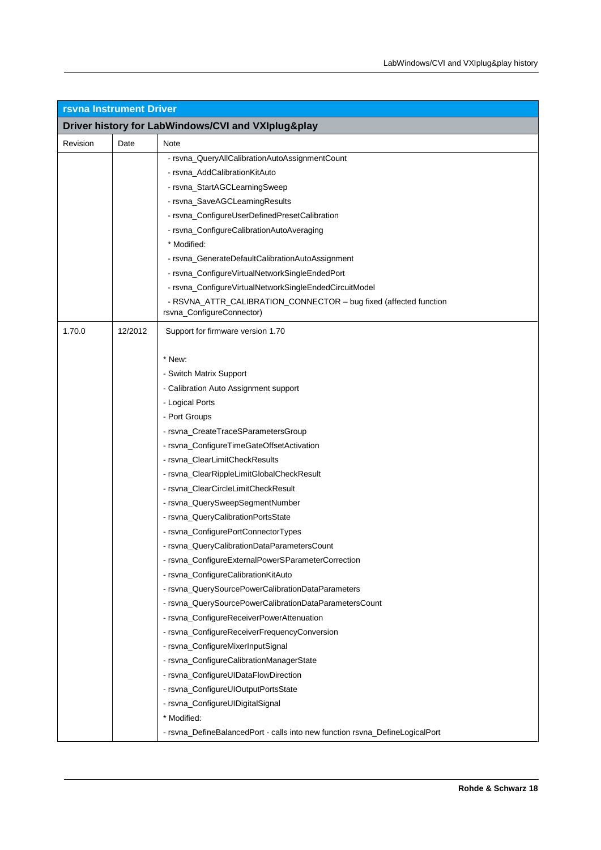| <b>rsvna Instrument Driver</b>                     |         |                                                                                                |  |
|----------------------------------------------------|---------|------------------------------------------------------------------------------------------------|--|
| Driver history for LabWindows/CVI and VXIplug&play |         |                                                                                                |  |
| Revision                                           | Date    | Note                                                                                           |  |
|                                                    |         | - rsvna_QueryAllCalibrationAutoAssignmentCount                                                 |  |
|                                                    |         | - rsvna_AddCalibrationKitAuto                                                                  |  |
|                                                    |         | - rsvna_StartAGCLearningSweep                                                                  |  |
|                                                    |         | - rsvna_SaveAGCLearningResults                                                                 |  |
|                                                    |         | - rsvna_ConfigureUserDefinedPresetCalibration                                                  |  |
|                                                    |         | - rsvna_ConfigureCalibrationAutoAveraging                                                      |  |
|                                                    |         | * Modified:                                                                                    |  |
|                                                    |         | - rsvna_GenerateDefaultCalibrationAutoAssignment                                               |  |
|                                                    |         | - rsvna_ConfigureVirtualNetworkSingleEndedPort                                                 |  |
|                                                    |         | - rsvna_ConfigureVirtualNetworkSingleEndedCircuitModel                                         |  |
|                                                    |         | - RSVNA_ATTR_CALIBRATION_CONNECTOR - bug fixed (affected function<br>rsvna_ConfigureConnector) |  |
| 1.70.0                                             | 12/2012 | Support for firmware version 1.70                                                              |  |
|                                                    |         |                                                                                                |  |
|                                                    |         | * New:                                                                                         |  |
|                                                    |         | - Switch Matrix Support                                                                        |  |
|                                                    |         | - Calibration Auto Assignment support                                                          |  |
|                                                    |         | - Logical Ports                                                                                |  |
|                                                    |         | - Port Groups                                                                                  |  |
|                                                    |         | - rsvna_CreateTraceSParametersGroup                                                            |  |
|                                                    |         | - rsvna_ConfigureTimeGateOffsetActivation                                                      |  |
|                                                    |         | - rsvna_ClearLimitCheckResults                                                                 |  |
|                                                    |         | - rsvna_ClearRippleLimitGlobalCheckResult                                                      |  |
|                                                    |         | - rsvna_ClearCircleLimitCheckResult                                                            |  |
|                                                    |         | - rsvna_QuerySweepSegmentNumber                                                                |  |
|                                                    |         | - rsvna_QueryCalibrationPortsState                                                             |  |
|                                                    |         | - rsvna_ConfigurePortConnectorTypes                                                            |  |
|                                                    |         | - rsvna_QueryCalibrationDataParametersCount                                                    |  |
|                                                    |         | - rsvna_ConfigureExternalPowerSParameterCorrection                                             |  |
|                                                    |         | - rsvna_ConfigureCalibrationKitAuto                                                            |  |
|                                                    |         | - rsvna_QuerySourcePowerCalibrationDataParameters                                              |  |
|                                                    |         | - rsvna_QuerySourcePowerCalibrationDataParametersCount                                         |  |
|                                                    |         | - rsvna_ConfigureReceiverPowerAttenuation                                                      |  |
|                                                    |         | - rsvna_ConfigureReceiverFrequencyConversion                                                   |  |
|                                                    |         | - rsvna_ConfigureMixerInputSignal                                                              |  |
|                                                    |         | - rsvna_ConfigureCalibrationManagerState                                                       |  |
|                                                    |         | - rsvna_ConfigureUIDataFlowDirection                                                           |  |
|                                                    |         | - rsvna_ConfigureUIOutputPortsState                                                            |  |
|                                                    |         | - rsvna_ConfigureUIDigitalSignal                                                               |  |
|                                                    |         | * Modified:                                                                                    |  |
|                                                    |         | - rsvna_DefineBalancedPort - calls into new function rsvna_DefineLogicalPort                   |  |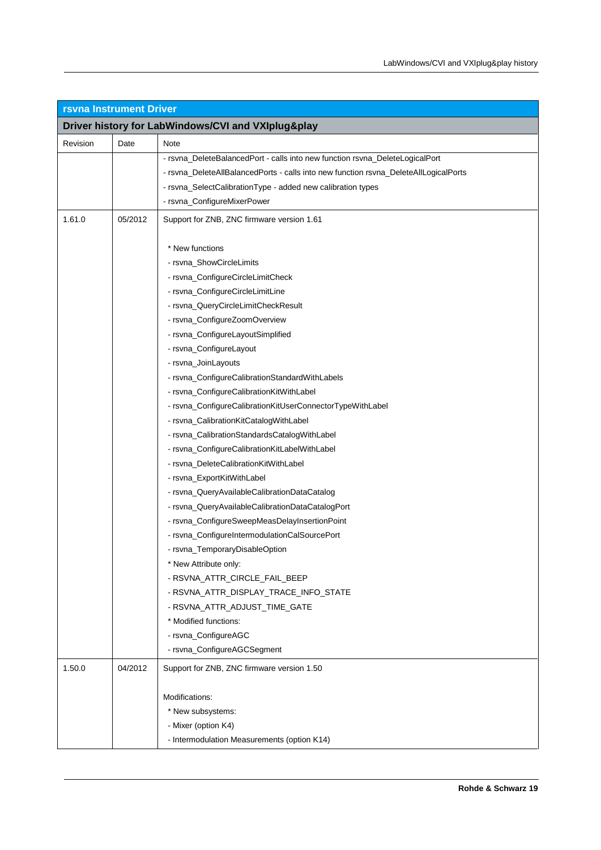| <b>rsvna Instrument Driver</b> |         |                                                                                      |
|--------------------------------|---------|--------------------------------------------------------------------------------------|
|                                |         | Driver history for LabWindows/CVI and VXIplug&play                                   |
| Revision                       | Date    | Note                                                                                 |
|                                |         | - rsvna_DeleteBalancedPort - calls into new function rsvna_DeleteLogicalPort         |
|                                |         | - rsvna_DeleteAllBalancedPorts - calls into new function rsvna_DeleteAllLogicalPorts |
|                                |         | - rsvna_SelectCalibrationType - added new calibration types                          |
|                                |         | - rsvna_ConfigureMixerPower                                                          |
| 1.61.0                         | 05/2012 | Support for ZNB, ZNC firmware version 1.61                                           |
|                                |         | * New functions                                                                      |
|                                |         | - rsvna_ShowCircleLimits                                                             |
|                                |         | - rsvna_ConfigureCircleLimitCheck                                                    |
|                                |         | - rsvna_ConfigureCircleLimitLine                                                     |
|                                |         | - rsvna_QueryCircleLimitCheckResult                                                  |
|                                |         | - rsvna_ConfigureZoomOverview                                                        |
|                                |         | - rsvna_ConfigureLayoutSimplified                                                    |
|                                |         | - rsvna_ConfigureLayout                                                              |
|                                |         | - rsvna_JoinLayouts                                                                  |
|                                |         | - rsvna_ConfigureCalibrationStandardWithLabels                                       |
|                                |         | - rsvna_ConfigureCalibrationKitWithLabel                                             |
|                                |         | - rsvna_ConfigureCalibrationKitUserConnectorTypeWithLabel                            |
|                                |         | - rsvna_CalibrationKitCatalogWithLabel                                               |
|                                |         | - rsvna_CalibrationStandardsCatalogWithLabel                                         |
|                                |         | - rsvna_ConfigureCalibrationKitLabelWithLabel                                        |
|                                |         | - rsvna_DeleteCalibrationKitWithLabel                                                |
|                                |         | - rsvna_ExportKitWithLabel                                                           |
|                                |         | - rsvna_QueryAvailableCalibrationDataCatalog                                         |
|                                |         | - rsvna_QueryAvailableCalibrationDataCatalogPort                                     |
|                                |         | - rsvna_ConfigureSweepMeasDelayInsertionPoint                                        |
|                                |         | - rsvna_ConfigureIntermodulationCalSourcePort                                        |
|                                |         | - rsvna_TemporaryDisableOption                                                       |
|                                |         | * New Attribute only:                                                                |
|                                |         | - RSVNA_ATTR_CIRCLE_FAIL_BEEP                                                        |
|                                |         | - RSVNA_ATTR_DISPLAY_TRACE_INFO_STATE                                                |
|                                |         | - RSVNA_ATTR_ADJUST_TIME_GATE                                                        |
|                                |         | * Modified functions:                                                                |
|                                |         | - rsvna_ConfigureAGC                                                                 |
|                                |         | - rsvna_ConfigureAGCSegment                                                          |
| 1.50.0                         | 04/2012 | Support for ZNB, ZNC firmware version 1.50                                           |
|                                |         | Modifications:                                                                       |
|                                |         | * New subsystems:                                                                    |
|                                |         | - Mixer (option K4)                                                                  |
|                                |         | - Intermodulation Measurements (option K14)                                          |
|                                |         |                                                                                      |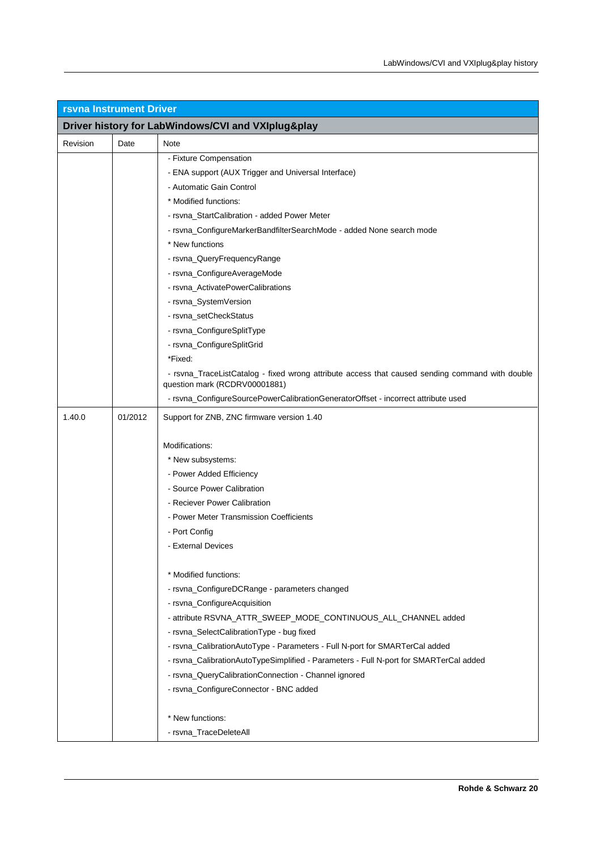| <b>rsvna Instrument Driver</b>                     |         |                                                                                                                                  |
|----------------------------------------------------|---------|----------------------------------------------------------------------------------------------------------------------------------|
| Driver history for LabWindows/CVI and VXIplug&play |         |                                                                                                                                  |
| Revision                                           | Date    | Note                                                                                                                             |
|                                                    |         | - Fixture Compensation                                                                                                           |
|                                                    |         | - ENA support (AUX Trigger and Universal Interface)                                                                              |
|                                                    |         | - Automatic Gain Control                                                                                                         |
|                                                    |         | * Modified functions:                                                                                                            |
|                                                    |         | - rsvna_StartCalibration - added Power Meter                                                                                     |
|                                                    |         | - rsvna_ConfigureMarkerBandfilterSearchMode - added None search mode                                                             |
|                                                    |         | * New functions                                                                                                                  |
|                                                    |         | - rsvna_QueryFrequencyRange                                                                                                      |
|                                                    |         | - rsvna_ConfigureAverageMode                                                                                                     |
|                                                    |         | - rsvna_ActivatePowerCalibrations                                                                                                |
|                                                    |         | - rsvna_SystemVersion                                                                                                            |
|                                                    |         | - rsvna_setCheckStatus                                                                                                           |
|                                                    |         | - rsvna_ConfigureSplitType                                                                                                       |
|                                                    |         | - rsvna_ConfigureSplitGrid                                                                                                       |
|                                                    |         | *Fixed:                                                                                                                          |
|                                                    |         | - rsvna_TraceListCatalog - fixed wrong attribute access that caused sending command with double<br>question mark (RCDRV00001881) |
|                                                    |         | - rsvna_ConfigureSourcePowerCalibrationGeneratorOffset - incorrect attribute used                                                |
| 1.40.0                                             | 01/2012 | Support for ZNB, ZNC firmware version 1.40                                                                                       |
|                                                    |         | Modifications:                                                                                                                   |
|                                                    |         | * New subsystems:                                                                                                                |
|                                                    |         | - Power Added Efficiency                                                                                                         |
|                                                    |         | - Source Power Calibration                                                                                                       |
|                                                    |         | - Reciever Power Calibration                                                                                                     |
|                                                    |         | - Power Meter Transmission Coefficients                                                                                          |
|                                                    |         | - Port Config                                                                                                                    |
|                                                    |         | - External Devices                                                                                                               |
|                                                    |         | * Modified functions:                                                                                                            |
|                                                    |         | - rsvna_ConfigureDCRange - parameters changed                                                                                    |
|                                                    |         | - rsvna_ConfigureAcquisition                                                                                                     |
|                                                    |         | - attribute RSVNA_ATTR_SWEEP_MODE_CONTINUOUS_ALL_CHANNEL added                                                                   |
|                                                    |         | - rsvna_SelectCalibrationType - bug fixed                                                                                        |
|                                                    |         | - rsvna_CalibrationAutoType - Parameters - Full N-port for SMARTerCal added                                                      |
|                                                    |         | - rsvna_CalibrationAutoTypeSimplified - Parameters - Full N-port for SMARTerCal added                                            |
|                                                    |         | - rsvna_QueryCalibrationConnection - Channel ignored                                                                             |
|                                                    |         | - rsvna_ConfigureConnector - BNC added                                                                                           |
|                                                    |         | * New functions:                                                                                                                 |
|                                                    |         | - rsvna_TraceDeleteAll                                                                                                           |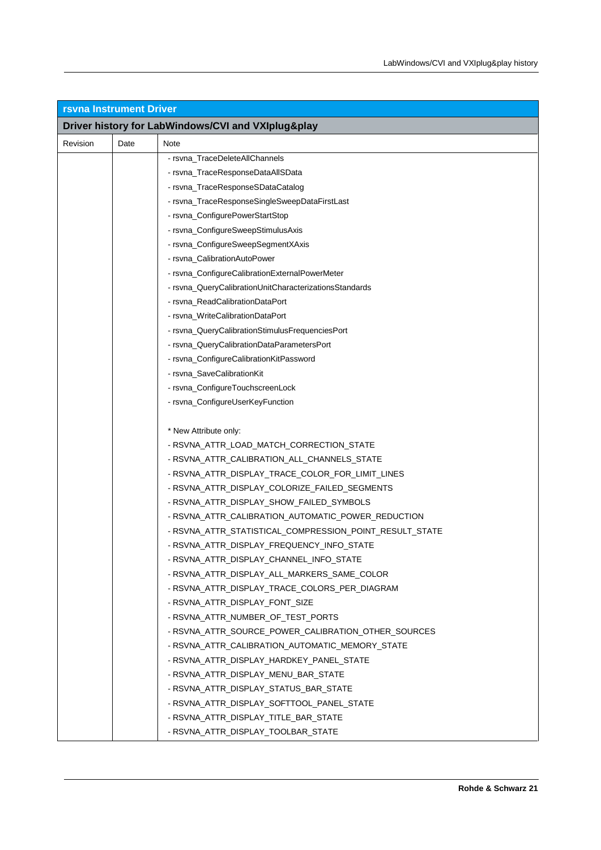| <b>rsvna Instrument Driver</b> |                                                    |                                                         |  |  |
|--------------------------------|----------------------------------------------------|---------------------------------------------------------|--|--|
|                                | Driver history for LabWindows/CVI and VXIplug&play |                                                         |  |  |
| Revision                       | Date                                               | Note                                                    |  |  |
|                                |                                                    | - rsvna TraceDeleteAllChannels                          |  |  |
|                                |                                                    | - rsvna_TraceResponseDataAllSData                       |  |  |
|                                |                                                    | - rsvna_TraceResponseSDataCatalog                       |  |  |
|                                |                                                    | - rsvna_TraceResponseSingleSweepDataFirstLast           |  |  |
|                                |                                                    | - rsvna_ConfigurePowerStartStop                         |  |  |
|                                |                                                    | - rsvna_ConfigureSweepStimulusAxis                      |  |  |
|                                |                                                    | - rsvna_ConfigureSweepSegmentXAxis                      |  |  |
|                                |                                                    | - rsvna_CalibrationAutoPower                            |  |  |
|                                |                                                    | - rsvna_ConfigureCalibrationExternalPowerMeter          |  |  |
|                                |                                                    | - rsvna_QueryCalibrationUnitCharacterizationsStandards  |  |  |
|                                |                                                    | - rsvna_ReadCalibrationDataPort                         |  |  |
|                                |                                                    | - rsvna WriteCalibrationDataPort                        |  |  |
|                                |                                                    | - rsvna_QueryCalibrationStimulusFrequenciesPort         |  |  |
|                                |                                                    | - rsvna_QueryCalibrationDataParametersPort              |  |  |
|                                |                                                    | - rsvna_ConfigureCalibrationKitPassword                 |  |  |
|                                |                                                    | - rsvna_SaveCalibrationKit                              |  |  |
|                                |                                                    | - rsvna_ConfigureTouchscreenLock                        |  |  |
|                                |                                                    | - rsvna_ConfigureUserKeyFunction                        |  |  |
|                                |                                                    |                                                         |  |  |
|                                |                                                    | * New Attribute only:                                   |  |  |
|                                |                                                    | - RSVNA_ATTR_LOAD_MATCH_CORRECTION_STATE                |  |  |
|                                |                                                    | - RSVNA_ATTR_CALIBRATION_ALL_CHANNELS_STATE             |  |  |
|                                |                                                    | - RSVNA_ATTR_DISPLAY_TRACE_COLOR_FOR_LIMIT_LINES        |  |  |
|                                |                                                    | - RSVNA_ATTR_DISPLAY_COLORIZE_FAILED_SEGMENTS           |  |  |
|                                |                                                    | - RSVNA_ATTR_DISPLAY_SHOW_FAILED_SYMBOLS                |  |  |
|                                |                                                    | - RSVNA_ATTR_CALIBRATION_AUTOMATIC_POWER_REDUCTION      |  |  |
|                                |                                                    | - RSVNA_ATTR_STATISTICAL_COMPRESSION_POINT_RESULT_STATE |  |  |
|                                |                                                    | - RSVNA_ATTR_DISPLAY_FREQUENCY_INFO_STATE               |  |  |
|                                |                                                    | - RSVNA_ATTR_DISPLAY_CHANNEL_INFO_STATE                 |  |  |
|                                |                                                    | - RSVNA ATTR DISPLAY ALL MARKERS SAME COLOR             |  |  |
|                                |                                                    | - RSVNA_ATTR_DISPLAY_TRACE_COLORS_PER_DIAGRAM           |  |  |
|                                |                                                    | - RSVNA_ATTR_DISPLAY_FONT_SIZE                          |  |  |
|                                |                                                    | - RSVNA_ATTR_NUMBER_OF_TEST_PORTS                       |  |  |
|                                |                                                    | - RSVNA_ATTR_SOURCE_POWER_CALIBRATION_OTHER_SOURCES     |  |  |
|                                |                                                    | - RSVNA_ATTR_CALIBRATION_AUTOMATIC_MEMORY_STATE         |  |  |
|                                |                                                    | - RSVNA ATTR DISPLAY HARDKEY PANEL STATE                |  |  |
|                                |                                                    | - RSVNA_ATTR_DISPLAY_MENU_BAR_STATE                     |  |  |
|                                |                                                    | - RSVNA_ATTR_DISPLAY_STATUS_BAR_STATE                   |  |  |
|                                |                                                    | - RSVNA_ATTR_DISPLAY_SOFTTOOL_PANEL_STATE               |  |  |
|                                |                                                    | - RSVNA_ATTR_DISPLAY_TITLE_BAR_STATE                    |  |  |
|                                |                                                    | - RSVNA_ATTR_DISPLAY_TOOLBAR_STATE                      |  |  |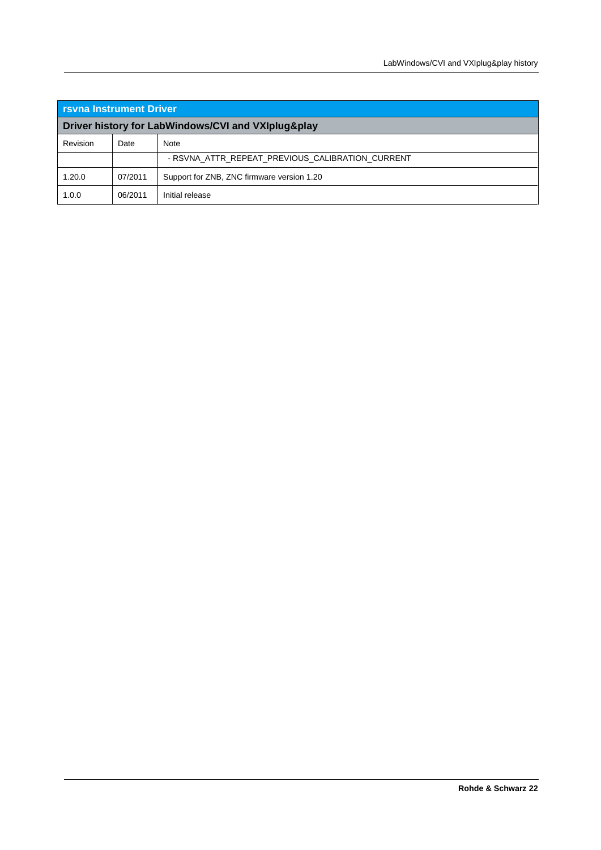| <b>I</b> rsvna Instrument Driver                   |         |                                                  |
|----------------------------------------------------|---------|--------------------------------------------------|
| Driver history for LabWindows/CVI and VXIplug&play |         |                                                  |
| Revision                                           | Date    | <b>Note</b>                                      |
|                                                    |         | - RSVNA ATTR REPEAT PREVIOUS CALIBRATION CURRENT |
| 1.20.0                                             | 07/2011 | Support for ZNB, ZNC firmware version 1.20       |
| 1.0.0                                              | 06/2011 | Initial release                                  |